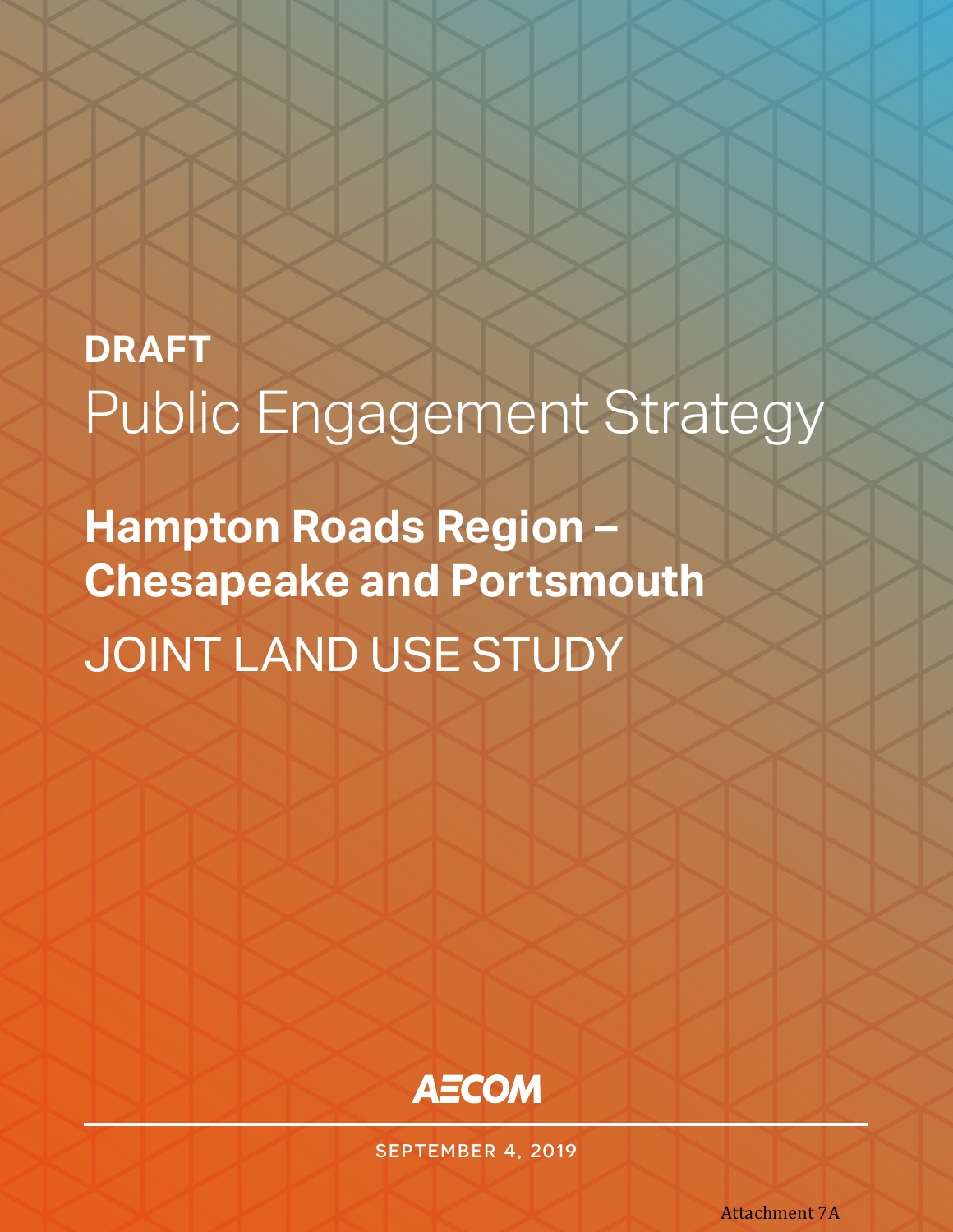# **DRAFT** Public Engagement Strategy

**Hampton Roads Region – Chesapeake and Portsmouth** JOINT LAND USE STUDY



SEPTEMBER 4, 2019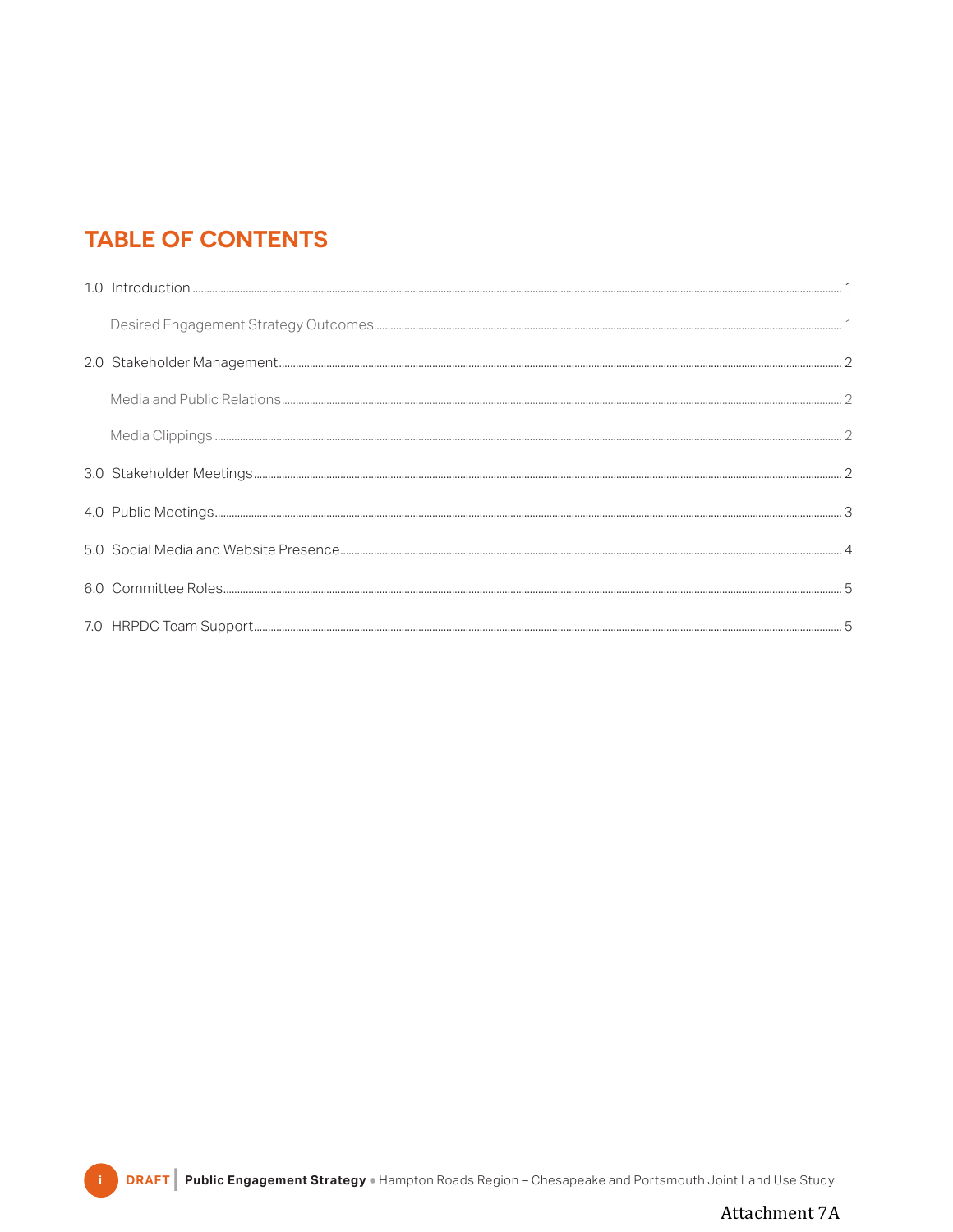# **TABLE OF CONTENTS**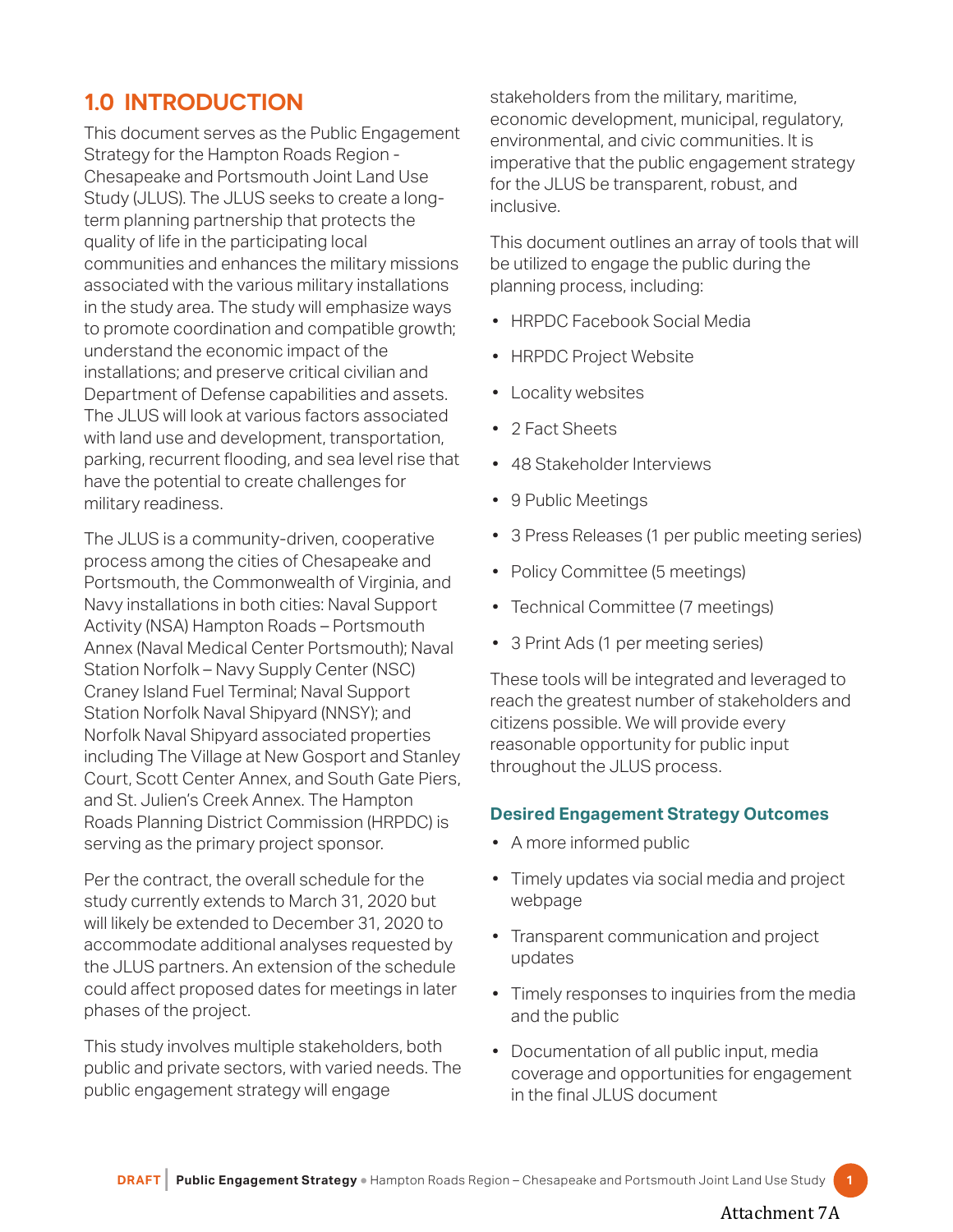# <span id="page-2-0"></span>**1.0 INTRODUCTION**

This document serves as the Public Engagement Strategy for the Hampton Roads Region - Chesapeake and Portsmouth Joint Land Use Study (JLUS). The JLUS seeks to create a longterm planning partnership that protects the quality of life in the participating local communities and enhances the military missions associated with the various military installations in the study area. The study will emphasize ways to promote coordination and compatible growth; understand the economic impact of the installations; and preserve critical civilian and Department of Defense capabilities and assets. The JLUS will look at various factors associated with land use and development, transportation, parking, recurrent flooding, and sea level rise that have the potential to create challenges for military readiness.

The JLUS is a community-driven, cooperative process among the cities of Chesapeake and Portsmouth, the Commonwealth of Virginia, and Navy installations in both cities: Naval Support Activity (NSA) Hampton Roads – Portsmouth Annex (Naval Medical Center Portsmouth); Naval Station Norfolk – Navy Supply Center (NSC) Craney Island Fuel Terminal; Naval Support Station Norfolk Naval Shipyard (NNSY); and Norfolk Naval Shipyard associated properties including The Village at New Gosport and Stanley Court, Scott Center Annex, and South Gate Piers, and St. Julien's Creek Annex. The Hampton Roads Planning District Commission (HRPDC) is serving as the primary project sponsor.

Per the contract, the overall schedule for the study currently extends to March 31, 2020 but will likely be extended to December 31, 2020 to accommodate additional analyses requested by the JLUS partners. An extension of the schedule could affect proposed dates for meetings in later phases of the project.

This study involves multiple stakeholders, both public and private sectors, with varied needs. The public engagement strategy will engage

stakeholders from the military, maritime, economic development, municipal, regulatory, environmental, and civic communities. It is imperative that the public engagement strategy for the JLUS be transparent, robust, and inclusive.

This document outlines an array of tools that will be utilized to engage the public during the planning process, including:

- HRPDC Facebook Social Media
- HRPDC Project Website
- Locality websites
- 2 Fact Sheets
- 48 Stakeholder Interviews
- 9 Public Meetings
- 3 Press Releases (1 per public meeting series)
- Policy Committee (5 meetings)
- Technical Committee (7 meetings)
- 3 Print Ads (1 per meeting series)

These tools will be integrated and leveraged to reach the greatest number of stakeholders and citizens possible. We will provide every reasonable opportunity for public input throughout the JLUS process.

## **Desired Engagement Strategy Outcomes**

- A more informed public
- Timely updates via social media and project webpage
- Transparent communication and project updates
- Timely responses to inquiries from the media and the public
- Documentation of all public input, media coverage and opportunities for engagement in the final JLUS document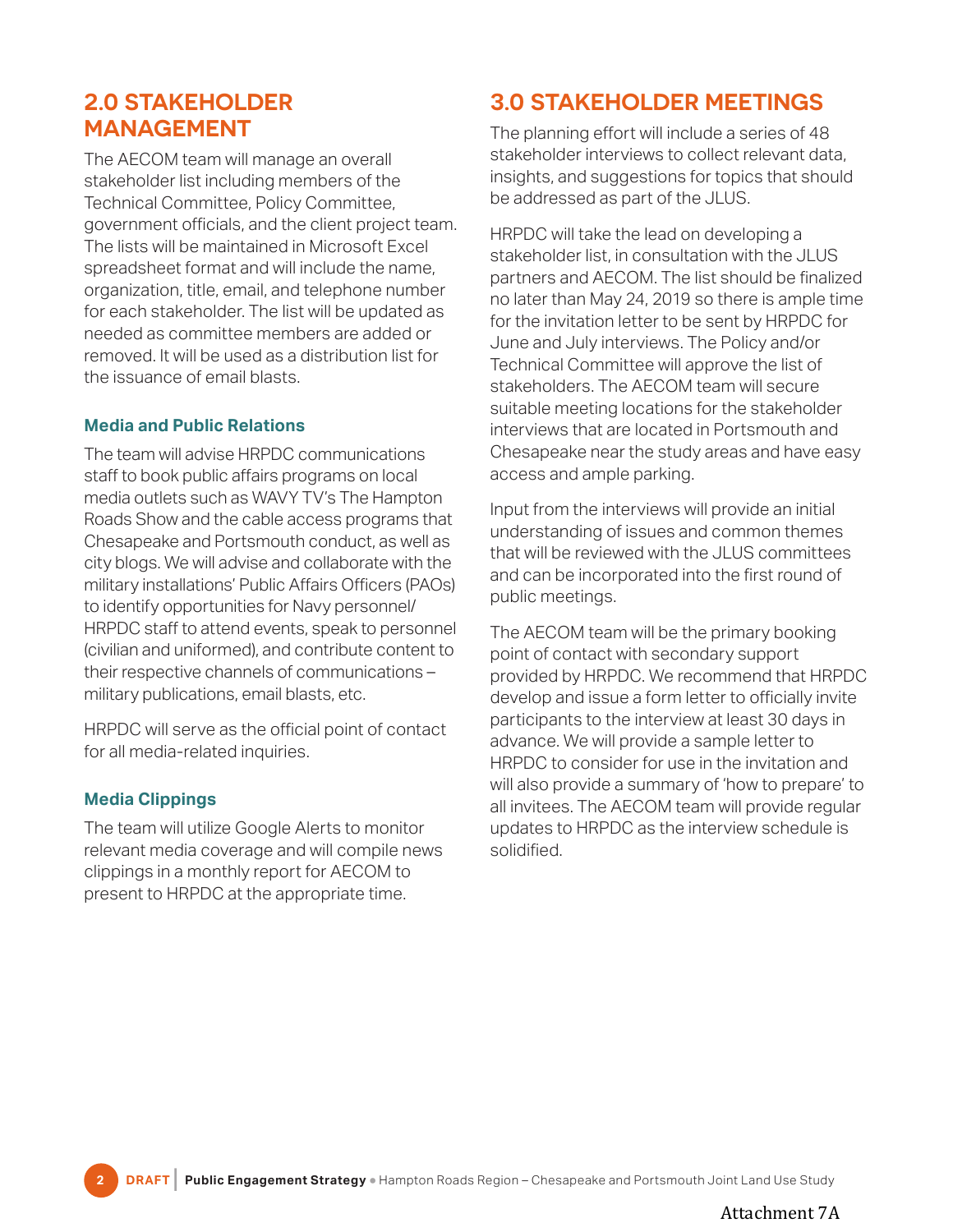## <span id="page-3-0"></span>**2.0 STAKEHOLDER MANAGEMENT**

The AECOM team will manage an overall stakeholder list including members of the Technical Committee, Policy Committee, government officials, and the client project team. The lists will be maintained in Microsoft Excel spreadsheet format and will include the name, organization, title, email, and telephone number for each stakeholder. The list will be updated as needed as committee members are added or removed. It will be used as a distribution list for the issuance of email blasts.

## **Media and Public Relations**

The team will advise HRPDC communications staff to book public affairs programs on local media outlets such as WAVY TV's The Hampton Roads Show and the cable access programs that Chesapeake and Portsmouth conduct, as well as city blogs. We will advise and collaborate with the military installations' Public Affairs Officers (PAOs) to identify opportunities for Navy personnel/ HRPDC staff to attend events, speak to personnel (civilian and uniformed), and contribute content to their respective channels of communications – military publications, email blasts, etc.

HRPDC will serve as the official point of contact for all media-related inquiries.

## **Media Clippings**

The team will utilize Google Alerts to monitor relevant media coverage and will compile news clippings in a monthly report for AECOM to present to HRPDC at the appropriate time.

## **3.0 STAKEHOLDER MEETINGS**

The planning effort will include a series of 48 stakeholder interviews to collect relevant data, insights, and suggestions for topics that should be addressed as part of the JLUS.

HRPDC will take the lead on developing a stakeholder list, in consultation with the JLUS partners and AECOM. The list should be finalized no later than May 24, 2019 so there is ample time for the invitation letter to be sent by HRPDC for June and July interviews. The Policy and/or Technical Committee will approve the list of stakeholders. The AECOM team will secure suitable meeting locations for the stakeholder interviews that are located in Portsmouth and Chesapeake near the study areas and have easy access and ample parking.

Input from the interviews will provide an initial understanding of issues and common themes that will be reviewed with the JLUS committees and can be incorporated into the first round of public meetings.

The AECOM team will be the primary booking point of contact with secondary support provided by HRPDC. We recommend that HRPDC develop and issue a form letter to officially invite participants to the interview at least 30 days in advance. We will provide a sample letter to HRPDC to consider for use in the invitation and will also provide a summary of 'how to prepare' to all invitees. The AECOM team will provide regular updates to HRPDC as the interview schedule is solidified.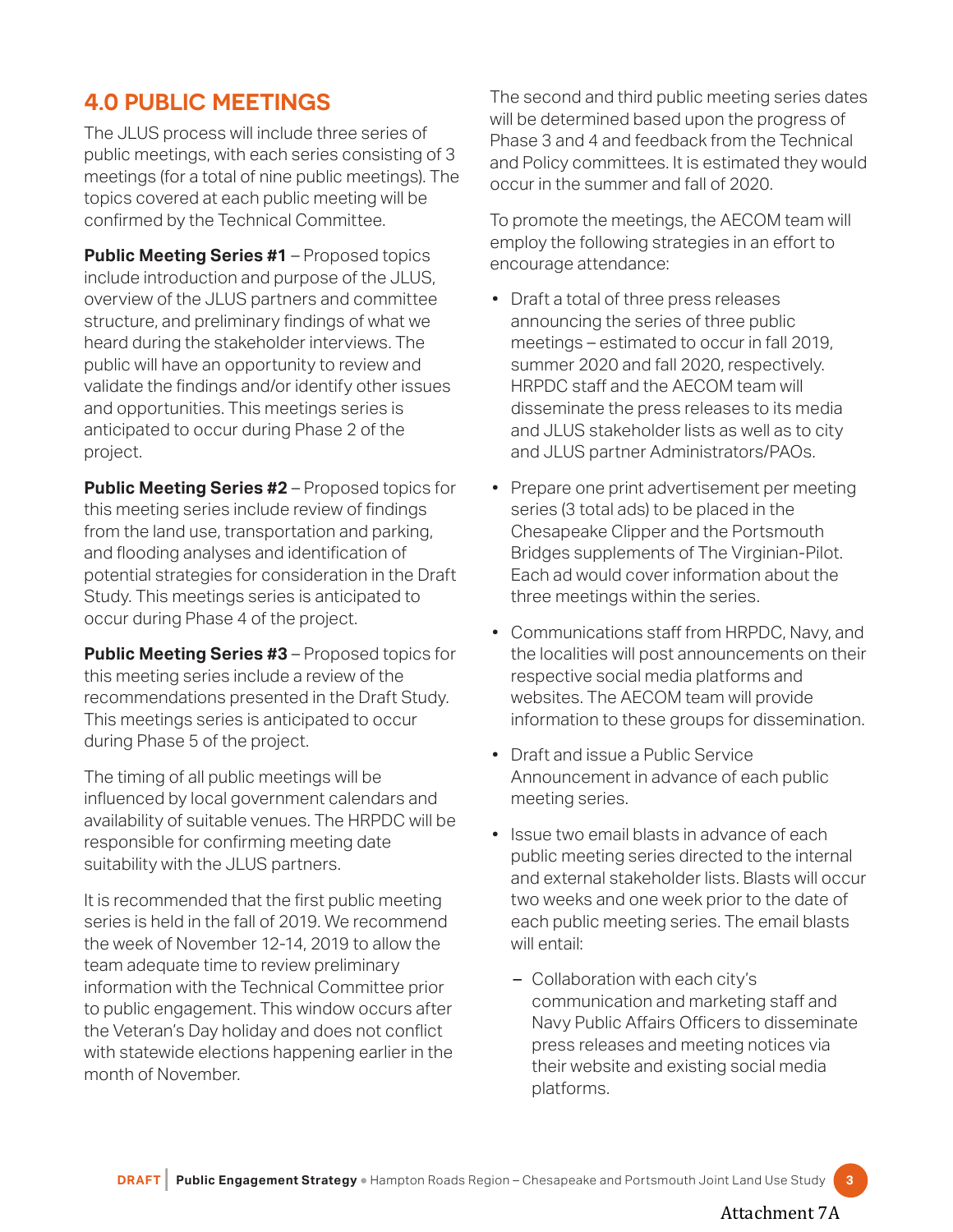# <span id="page-4-0"></span>**4.0 PUBLIC MEETINGS**

The JLUS process will include three series of public meetings, with each series consisting of 3 meetings (for a total of nine public meetings). The topics covered at each public meeting will be confirmed by the Technical Committee.

**Public Meeting Series #1** – Proposed topics include introduction and purpose of the JLUS, overview of the JLUS partners and committee structure, and preliminary findings of what we heard during the stakeholder interviews. The public will have an opportunity to review and validate the findings and/or identify other issues and opportunities. This meetings series is anticipated to occur during Phase 2 of the project.

**Public Meeting Series #2** – Proposed topics for this meeting series include review of findings from the land use, transportation and parking, and flooding analyses and identification of potential strategies for consideration in the Draft Study. This meetings series is anticipated to occur during Phase 4 of the project.

**Public Meeting Series #3** – Proposed topics for this meeting series include a review of the recommendations presented in the Draft Study. This meetings series is anticipated to occur during Phase 5 of the project.

The timing of all public meetings will be influenced by local government calendars and availability of suitable venues. The HRPDC will be responsible for confirming meeting date suitability with the JLUS partners.

It is recommended that the first public meeting series is held in the fall of 2019. We recommend the week of November 12-14, 2019 to allow the team adequate time to review preliminary information with the Technical Committee prior to public engagement. This window occurs after the Veteran's Day holiday and does not conflict with statewide elections happening earlier in the month of November.

The second and third public meeting series dates will be determined based upon the progress of Phase 3 and 4 and feedback from the Technical and Policy committees. It is estimated they would occur in the summer and fall of 2020.

To promote the meetings, the AECOM team will employ the following strategies in an effort to encourage attendance:

- Draft a total of three press releases announcing the series of three public meetings – estimated to occur in fall 2019, summer 2020 and fall 2020, respectively. HRPDC staff and the AECOM team will disseminate the press releases to its media and JLUS stakeholder lists as well as to city and JLUS partner Administrators/PAOs.
- Prepare one print advertisement per meeting series (3 total ads) to be placed in the Chesapeake Clipper and the Portsmouth Bridges supplements of The Virginian-Pilot. Each ad would cover information about the three meetings within the series.
- Communications staff from HRPDC, Navy, and the localities will post announcements on their respective social media platforms and websites. The AECOM team will provide information to these groups for dissemination.
- Draft and issue a Public Service Announcement in advance of each public meeting series.
- Issue two email blasts in advance of each public meeting series directed to the internal and external stakeholder lists. Blasts will occur two weeks and one week prior to the date of each public meeting series. The email blasts will entail:
	- Collaboration with each city's communication and marketing staff and Navy Public Affairs Officers to disseminate press releases and meeting notices via their website and existing social media platforms.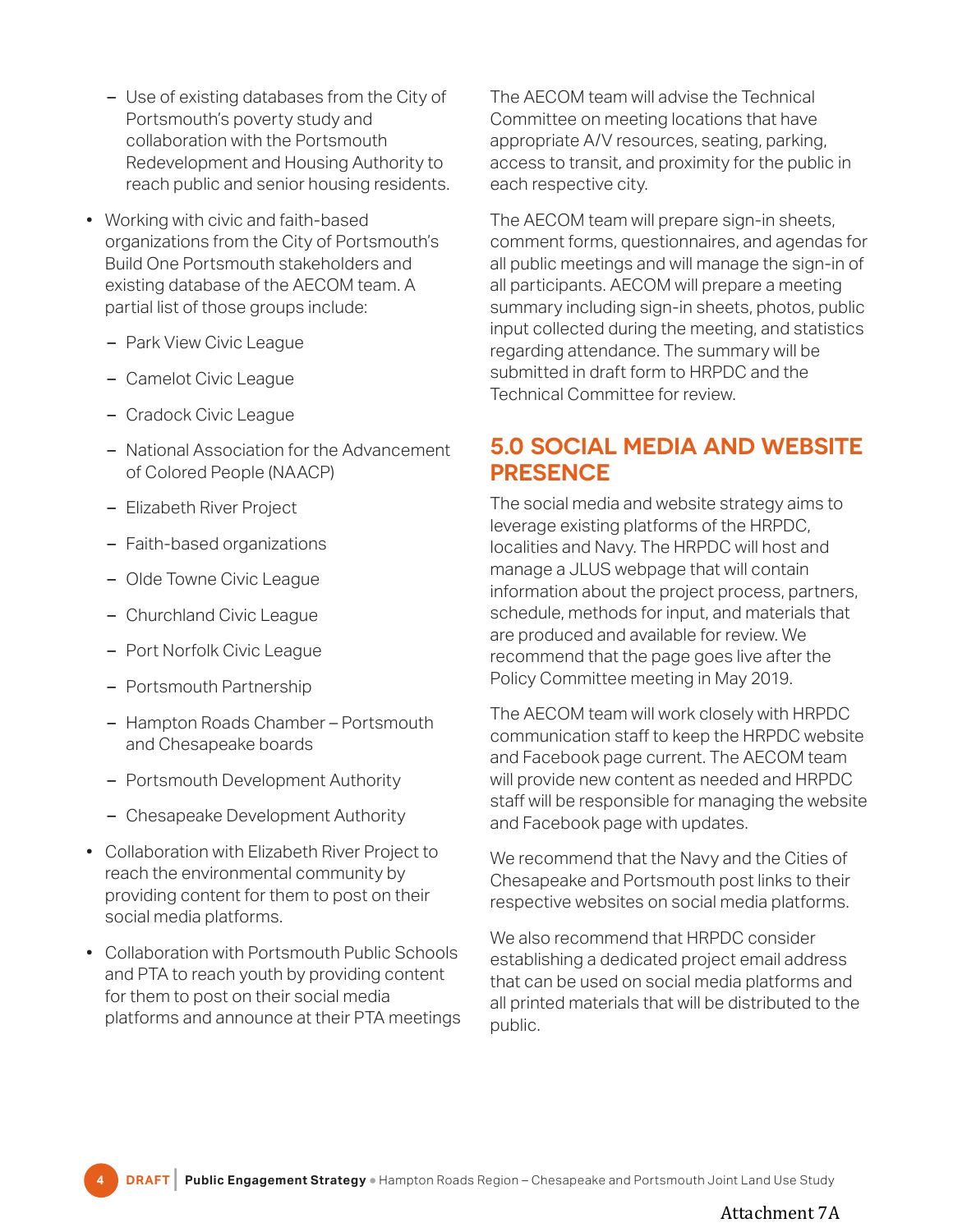- <span id="page-5-0"></span>– Use of existing databases from the City of Portsmouth's poverty study and collaboration with the Portsmouth Redevelopment and Housing Authority to reach public and senior housing residents.
- Working with civic and faith-based organizations from the City of Portsmouth's Build One Portsmouth stakeholders and existing database of the AECOM team. A partial list of those groups include:
	- Park View Civic League
	- Camelot Civic League
	- Cradock Civic League
	- National Association for the Advancement of Colored People (NAACP)
	- Elizabeth River Project
	- Faith-based organizations
	- Olde Towne Civic League
	- Churchland Civic League
	- Port Norfolk Civic League
	- Portsmouth Partnership
	- Hampton Roads Chamber Portsmouth and Chesapeake boards
	- Portsmouth Development Authority
	- Chesapeake Development Authority
- Collaboration with Elizabeth River Project to reach the environmental community by providing content for them to post on their social media platforms.
- Collaboration with Portsmouth Public Schools and PTA to reach youth by providing content for them to post on their social media platforms and announce at their PTA meetings

The AECOM team will advise the Technical Committee on meeting locations that have appropriate A/V resources, seating, parking, access to transit, and proximity for the public in each respective city.

The AECOM team will prepare sign-in sheets, comment forms, questionnaires, and agendas for all public meetings and will manage the sign-in of all participants. AECOM will prepare a meeting summary including sign-in sheets, photos, public input collected during the meeting, and statistics regarding attendance. The summary will be submitted in draft form to HRPDC and the Technical Committee for review.

## **5.0 SOCIAL MEDIA AND WEBSITE PRESENCE**

The social media and website strategy aims to leverage existing platforms of the HRPDC, localities and Navy. The HRPDC will host and manage a JLUS webpage that will contain information about the project process, partners, schedule, methods for input, and materials that are produced and available for review. We recommend that the page goes live after the Policy Committee meeting in May 2019.

The AECOM team will work closely with HRPDC communication staff to keep the HRPDC website and Facebook page current. The AECOM team will provide new content as needed and HRPDC staff will be responsible for managing the website and Facebook page with updates.

We recommend that the Navy and the Cities of Chesapeake and Portsmouth post links to their respective websites on social media platforms.

We also recommend that HRPDC consider establishing a dedicated project email address that can be used on social media platforms and all printed materials that will be distributed to the public.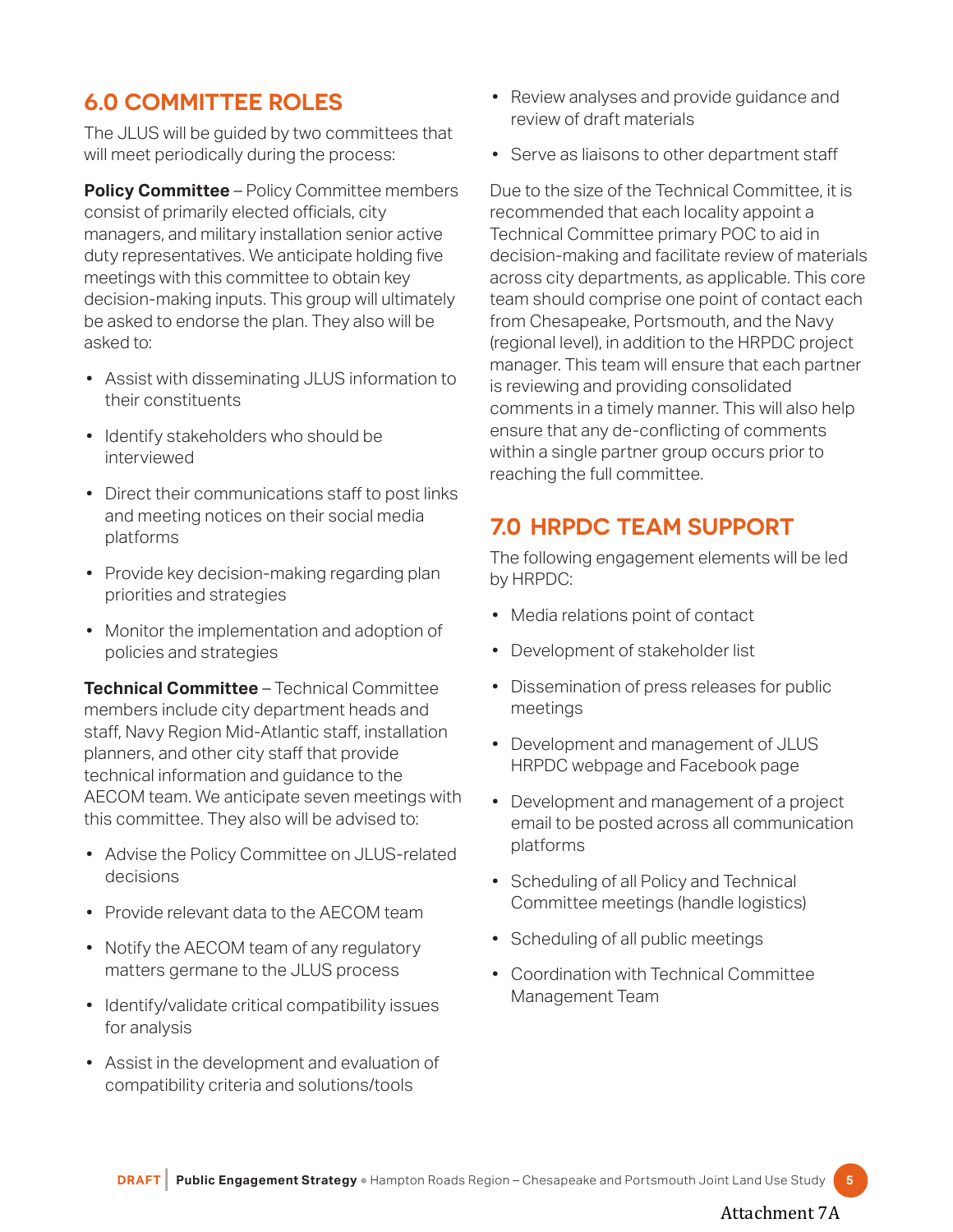# <span id="page-6-0"></span>**6.0 COMMITTEE ROLES**

The JLUS will be guided by two committees that will meet periodically during the process:

**Policy Committee** – Policy Committee members consist of primarily elected officials, city managers, and military installation senior active duty representatives. We anticipate holding five meetings with this committee to obtain key decision-making inputs. This group will ultimately be asked to endorse the plan. They also will be asked to:

- Assist with disseminating JLUS information to their constituents
- Identify stakeholders who should be interviewed
- Direct their communications staff to post links and meeting notices on their social media platforms
- Provide key decision-making regarding plan priorities and strategies
- Monitor the implementation and adoption of policies and strategies

**Technical Committee** – Technical Committee members include city department heads and staff, Navy Region Mid-Atlantic staff, installation planners, and other city staff that provide technical information and guidance to the AECOM team. We anticipate seven meetings with this committee. They also will be advised to:

- Advise the Policy Committee on JLUS-related decisions
- Provide relevant data to the AECOM team
- Notify the AECOM team of any regulatory matters germane to the JLUS process
- Identify/validate critical compatibility issues for analysis
- Assist in the development and evaluation of compatibility criteria and solutions/tools
- Review analyses and provide guidance and review of draft materials
- Serve as liaisons to other department staff

Due to the size of the Technical Committee, it is recommended that each locality appoint a Technical Committee primary POC to aid in decision-making and facilitate review of materials across city departments, as applicable. This core team should comprise one point of contact each from Chesapeake, Portsmouth, and the Navy (regional level), in addition to the HRPDC project manager. This team will ensure that each partner is reviewing and providing consolidated comments in a timely manner. This will also help ensure that any de-conflicting of comments within a single partner group occurs prior to reaching the full committee.

## **7.0 HRPDC TEAM SUPPORT**

The following engagement elements will be led by HRPDC:

- Media relations point of contact
- Development of stakeholder list
- Dissemination of press releases for public meetings
- Development and management of JLUS HRPDC webpage and Facebook page
- Development and management of a project email to be posted across all communication platforms
- Scheduling of all Policy and Technical Committee meetings (handle logistics)
- Scheduling of all public meetings
- Coordination with Technical Committee Management Team